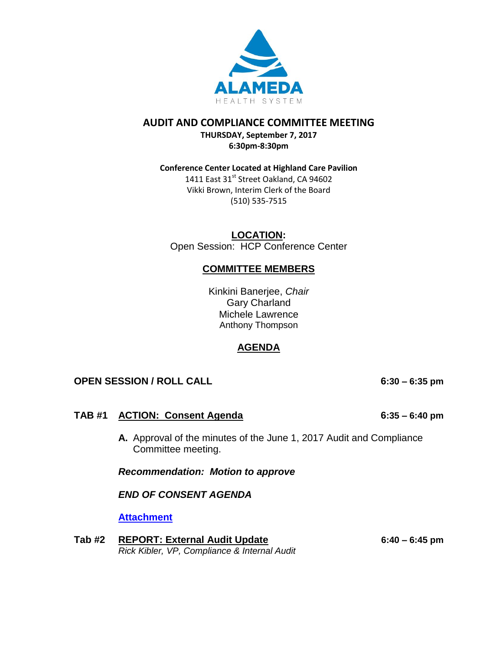

## **AUDIT AND COMPLIANCE COMMITTEE MEETING**

**THURSDAY, September 7, 2017 6:30pm-8:30pm**

### **Conference Center Located at Highland Care Pavilion**

1411 East 31<sup>st</sup> Street Oakland, CA 94602 Vikki Brown, Interim Clerk of the Board (510) 535-7515

**LOCATION:** Open Session: HCP Conference Center

## **COMMITTEE MEMBERS**

Kinkini Banerjee, *Chair* Gary Charland Michele Lawrence Anthony Thompson

## **AGENDA**

## **OPEN SESSION / ROLL CALL 6:30 – 6:35 pm**

## **TAB #1 ACTION: Consent Agenda 6:35 – 6:40 pm**

**A.** Approval of the minutes of the June 1, 2017 Audit and Compliance Committee meeting.

*Recommendation: Motion to approve* 

*END OF CONSENT AGENDA*

### **[Attachment](http://www.alamedahealthsystem.org/sites/default/files/Tab%201A%20Audit%20and%20Compliance%20Committee%20Minutes%2006-1-17_0.pdf)**

**Tab #2 REPORT: External Audit Update 6:40 – 6:45 pm** *Rick Kibler, VP, Compliance & Internal Audit*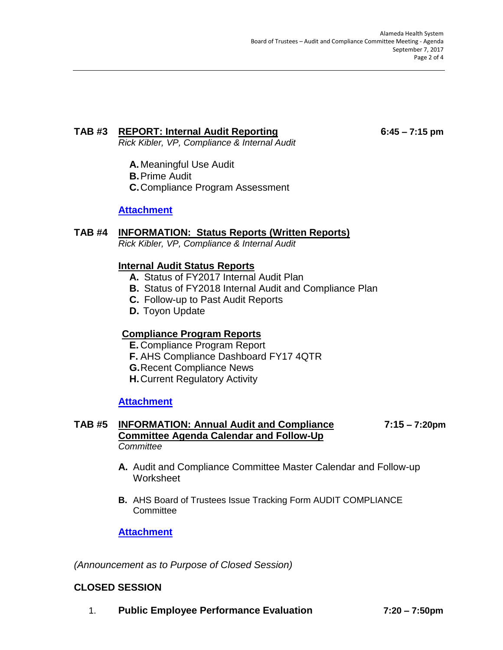# **TAB #3 REPORT: Internal Audit Reporting 6:45 – 7:15 pm**

*Rick Kibler, VP, Compliance & Internal Audit*

- **A.** Meaningful Use Audit
- **B.**Prime Audit
- **C.**Compliance Program Assessment

## **[Attachment](http://www.alamedahealthsystem.org/sites/default/files/Tab%203_0.pdf)**

## **TAB #4 INFORMATION: Status Reports (Written Reports)**

*Rick Kibler, VP, Compliance & Internal Audit*

## **Internal Audit Status Reports**

- **A.** Status of FY2017 Internal Audit Plan
- **B.** Status of FY2018 Internal Audit and Compliance Plan
- **C.** Follow-up to Past Audit Reports
- **D.** Toyon Update

## **Compliance Program Reports**

- **E.** Compliance Program Report
- **F.** AHS Compliance Dashboard FY17 4QTR
- **G.**Recent Compliance News
- **H.**Current Regulatory Activity

## **[Attachment](http://www.alamedahealthsystem.org/sites/default/files/Tab%204.pdf)**

#### **TAB #5 INFORMATION: Annual Audit and Compliance 7:15 – 7:20pm Committee Agenda Calendar and Follow-Up** *Committee*

- **A.** Audit and Compliance Committee Master Calendar and Follow-up **Worksheet**
- **B.** AHS Board of Trustees Issue Tracking Form AUDIT COMPLIANCE **Committee**

## **[Attachment](http://www.alamedahealthsystem.org/sites/default/files/Tab%205_0.pdf)**

*(Announcement as to Purpose of Closed Session)*

## **CLOSED SESSION**

1. **Public Employee Performance Evaluation 7:20 – 7:50pm**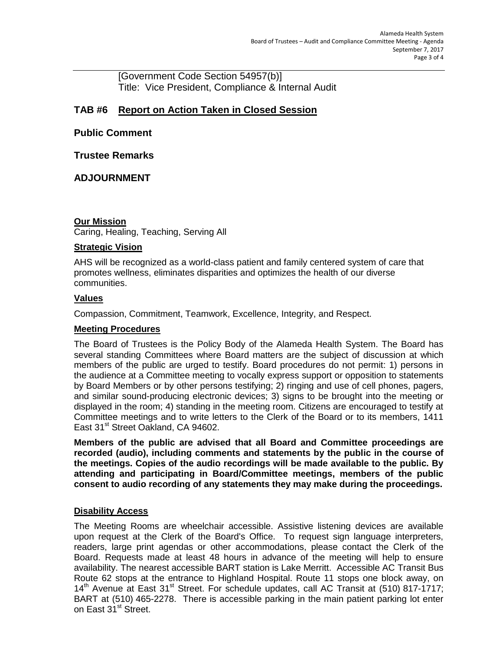[Government Code Section 54957(b)] Title: Vice President, Compliance & Internal Audit

## **TAB #6 Report on Action Taken in Closed Session**

## **Public Comment**

## **Trustee Remarks**

## **ADJOURNMENT**

### **Our Mission**

Caring, Healing, Teaching, Serving All

#### **Strategic Vision**

AHS will be recognized as a world-class patient and family centered system of care that promotes wellness, eliminates disparities and optimizes the health of our diverse communities.

#### **Values**

Compassion, Commitment, Teamwork, Excellence, Integrity, and Respect.

#### **Meeting Procedures**

The Board of Trustees is the Policy Body of the Alameda Health System. The Board has several standing Committees where Board matters are the subject of discussion at which members of the public are urged to testify. Board procedures do not permit: 1) persons in the audience at a Committee meeting to vocally express support or opposition to statements by Board Members or by other persons testifying; 2) ringing and use of cell phones, pagers, and similar sound-producing electronic devices; 3) signs to be brought into the meeting or displayed in the room; 4) standing in the meeting room. Citizens are encouraged to testify at Committee meetings and to write letters to the Clerk of the Board or to its members, 1411 East 31<sup>st</sup> Street Oakland, CA 94602.

**Members of the public are advised that all Board and Committee proceedings are recorded (audio), including comments and statements by the public in the course of the meetings. Copies of the audio recordings will be made available to the public. By attending and participating in Board/Committee meetings, members of the public consent to audio recording of any statements they may make during the proceedings.** 

### **Disability Access**

The Meeting Rooms are wheelchair accessible. Assistive listening devices are available upon request at the Clerk of the Board's Office. To request sign language interpreters, readers, large print agendas or other accommodations, please contact the Clerk of the Board. Requests made at least 48 hours in advance of the meeting will help to ensure availability. The nearest accessible BART station is Lake Merritt. Accessible AC Transit Bus Route 62 stops at the entrance to Highland Hospital. Route 11 stops one block away, on  $14<sup>th</sup>$  Avenue at East 31<sup>st</sup> Street. For schedule updates, call AC Transit at (510) 817-1717; BART at (510) 465-2278. There is accessible parking in the main patient parking lot enter on East 31<sup>st</sup> Street.